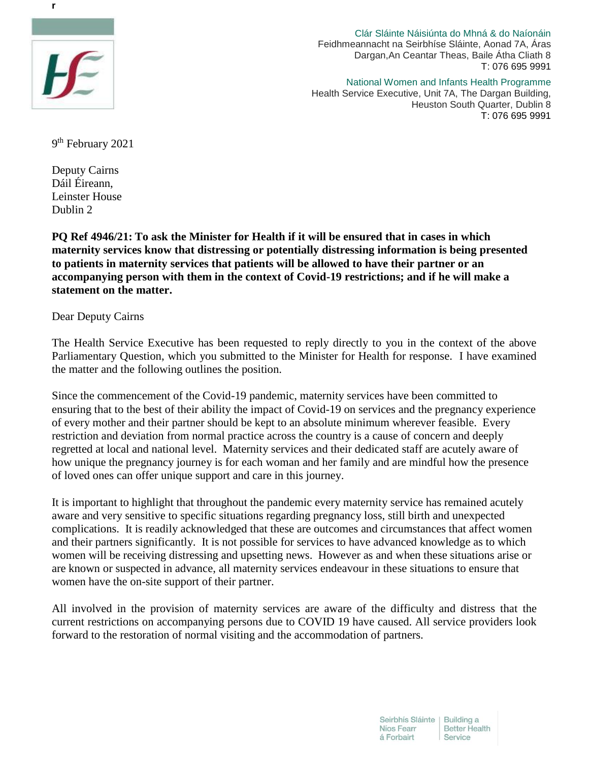

Clár Sláinte Náisiúnta do Mhná & do Naíonáin Feidhmeannacht na Seirbhíse Sláinte, Aonad 7A, Áras Dargan,An Ceantar Theas, Baile Átha Cliath 8 T: 076 695 9991

National Women and Infants Health Programme Health Service Executive, Unit 7A, The Dargan Building, Heuston South Quarter, Dublin 8 T: 076 695 9991

9<sup>th</sup> February 2021

Deputy Cairns Dáil Éireann, Leinster House Dublin 2

**PQ Ref 4946/21: To ask the Minister for Health if it will be ensured that in cases in which maternity services know that distressing or potentially distressing information is being presented to patients in maternity services that patients will be allowed to have their partner or an accompanying person with them in the context of Covid-19 restrictions; and if he will make a statement on the matter.**

## Dear Deputy Cairns

The Health Service Executive has been requested to reply directly to you in the context of the above Parliamentary Question, which you submitted to the Minister for Health for response. I have examined the matter and the following outlines the position.

Since the commencement of the Covid-19 pandemic, maternity services have been committed to ensuring that to the best of their ability the impact of Covid-19 on services and the pregnancy experience of every mother and their partner should be kept to an absolute minimum wherever feasible. Every restriction and deviation from normal practice across the country is a cause of concern and deeply regretted at local and national level. Maternity services and their dedicated staff are acutely aware of how unique the pregnancy journey is for each woman and her family and are mindful how the presence of loved ones can offer unique support and care in this journey.

It is important to highlight that throughout the pandemic every maternity service has remained acutely aware and very sensitive to specific situations regarding pregnancy loss, still birth and unexpected complications. It is readily acknowledged that these are outcomes and circumstances that affect women and their partners significantly. It is not possible for services to have advanced knowledge as to which women will be receiving distressing and upsetting news. However as and when these situations arise or are known or suspected in advance, all maternity services endeavour in these situations to ensure that women have the on-site support of their partner.

All involved in the provision of maternity services are aware of the difficulty and distress that the current restrictions on accompanying persons due to COVID 19 have caused. All service providers look forward to the restoration of normal visiting and the accommodation of partners.